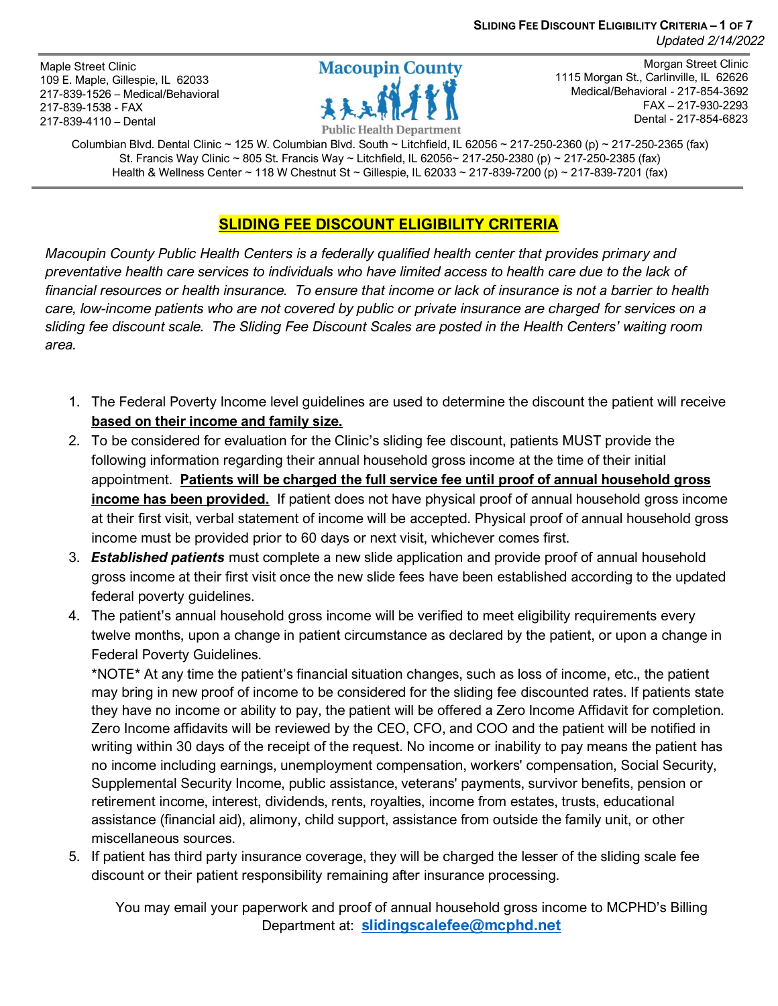**SLIDING FEE DISCOUNT ELIGIBILITY CRITERIA – 1 OF 7** *Updated 2/14/2022*

Maple Street Clinic 109 E. Maple, Gillespie, IL 62033 217-839-1526 – Medical/Behavioral 217-839-1538 - FAX 217-839-4110 – Dental



Morgan Street Clinic 1115 Morgan St., Carlinville, IL 62626 Medical/Behavioral - 217-854-3692 FAX – 217-930-2293 Dental - 217-854-6823

Columbian Blvd. Dental Clinic ~ 125 W. Columbian Blvd. South ~ Litchfield, IL 62056 ~ 217-250-2360 (p) ~ 217-250-2365 (fax) St. Francis Way Clinic ~ 805 St. Francis Way ~ Litchfield, IL 62056~ 217-250-2380 (p) ~ 217-250-2385 (fax) Health & Wellness Center ~ 118 W Chestnut St ~ Gillespie, IL 62033 ~ 217-839-7200 (p) ~ 217-839-7201 (fax)

### **SLIDING FEE DISCOUNT ELIGIBILITY CRITERIA**

*Macoupin County Public Health Centers is a federally qualified health center that provides primary and preventative health care services to individuals who have limited access to health care due to the lack of financial resources or health insurance. To ensure that income or lack of insurance is not a barrier to health care, low-income patients who are not covered by public or private insurance are charged for services on a sliding fee discount scale. The Sliding Fee Discount Scales are posted in the Health Centers' waiting room area.* 

- 1. The Federal Poverty Income level guidelines are used to determine the discount the patient will receive **based on their income and family size.**
- 2. To be considered for evaluation for the Clinic's sliding fee discount, patients MUST provide the following information regarding their annual household gross income at the time of their initial appointment. **Patients will be charged the full service fee until proof of annual household gross income has been provided.** If patient does not have physical proof of annual household gross income at their first visit, verbal statement of income will be accepted. Physical proof of annual household gross income must be provided prior to 60 days or next visit, whichever comes first.
- 3. *Established patients* must complete a new slide application and provide proof of annual household gross income at their first visit once the new slide fees have been established according to the updated federal poverty guidelines.
- 4. The patient's annual household gross income will be verified to meet eligibility requirements every twelve months, upon a change in patient circumstance as declared by the patient, or upon a change in Federal Poverty Guidelines.

\*NOTE\* At any time the patient's financial situation changes, such as loss of income, etc., the patient may bring in new proof of income to be considered for the sliding fee discounted rates. If patients state they have no income or ability to pay, the patient will be offered a Zero Income Affidavit for completion. Zero Income affidavits will be reviewed by the CEO, CFO, and COO and the patient will be notified in writing within 30 days of the receipt of the request. No income or inability to pay means the patient has no income including earnings, unemployment compensation, workers' compensation, Social Security, Supplemental Security Income, public assistance, veterans' payments, survivor benefits, pension or retirement income, interest, dividends, rents, royalties, income from estates, trusts, educational assistance (financial aid), alimony, child support, assistance from outside the family unit, or other miscellaneous sources.

5. If patient has third party insurance coverage, they will be charged the lesser of the sliding scale fee discount or their patient responsibility remaining after insurance processing.

You may email your paperwork and proof of annual household gross income to MCPHD's Billing Department at: **[slidingscalefee@mcphd.net](mailto:slidingscalefee@mcphd.net)**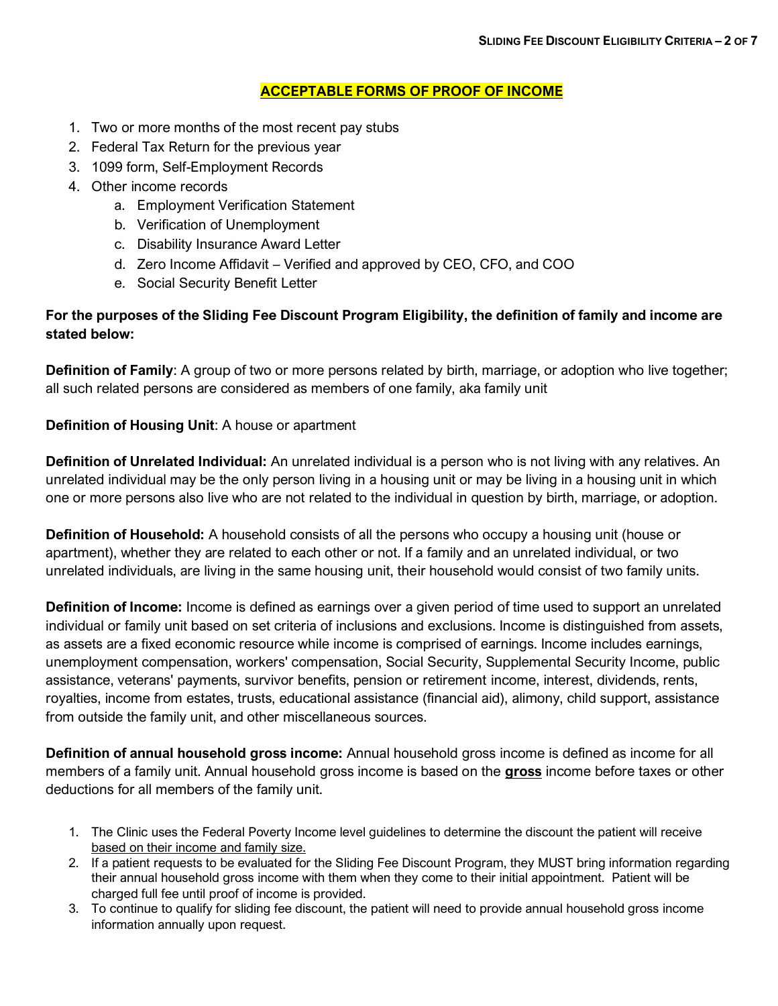#### **ACCEPTABLE FORMS OF PROOF OF INCOME**

- 1. Two or more months of the most recent pay stubs
- 2. Federal Tax Return for the previous year
- 3. 1099 form, Self-Employment Records
- 4. Other income records
	- a. Employment Verification Statement
	- b. Verification of Unemployment
	- c. Disability Insurance Award Letter
	- d. Zero Income Affidavit Verified and approved by CEO, CFO, and COO
	- e. Social Security Benefit Letter

### **For the purposes of the Sliding Fee Discount Program Eligibility, the definition of family and income are stated below:**

**Definition of Family**: A group of two or more persons related by birth, marriage, or adoption who live together; all such related persons are considered as members of one family, aka family unit

#### **Definition of Housing Unit**: A house or apartment

**Definition of Unrelated Individual:** An unrelated individual is a person who is not living with any relatives. An unrelated individual may be the only person living in a housing unit or may be living in a housing unit in which one or more persons also live who are not related to the individual in question by birth, marriage, or adoption.

**Definition of Household:** A household consists of all the persons who occupy a housing unit (house or apartment), whether they are related to each other or not. If a family and an unrelated individual, or two unrelated individuals, are living in the same housing unit, their household would consist of two family units.

**Definition of Income:** Income is defined as earnings over a given period of time used to support an unrelated individual or family unit based on set criteria of inclusions and exclusions. Income is distinguished from assets, as assets are a fixed economic resource while income is comprised of earnings. Income includes earnings, unemployment compensation, workers' compensation, Social Security, Supplemental Security Income, public assistance, veterans' payments, survivor benefits, pension or retirement income, interest, dividends, rents, royalties, income from estates, trusts, educational assistance (financial aid), alimony, child support, assistance from outside the family unit, and other miscellaneous sources.

**Definition of annual household gross income:** Annual household gross income is defined as income for all members of a family unit. Annual household gross income is based on the **gross** income before taxes or other deductions for all members of the family unit.

- 1. The Clinic uses the Federal Poverty Income level guidelines to determine the discount the patient will receive based on their income and family size.
- 2. If a patient requests to be evaluated for the Sliding Fee Discount Program, they MUST bring information regarding their annual household gross income with them when they come to their initial appointment. Patient will be charged full fee until proof of income is provided.
- 3. To continue to qualify for sliding fee discount, the patient will need to provide annual household gross income information annually upon request.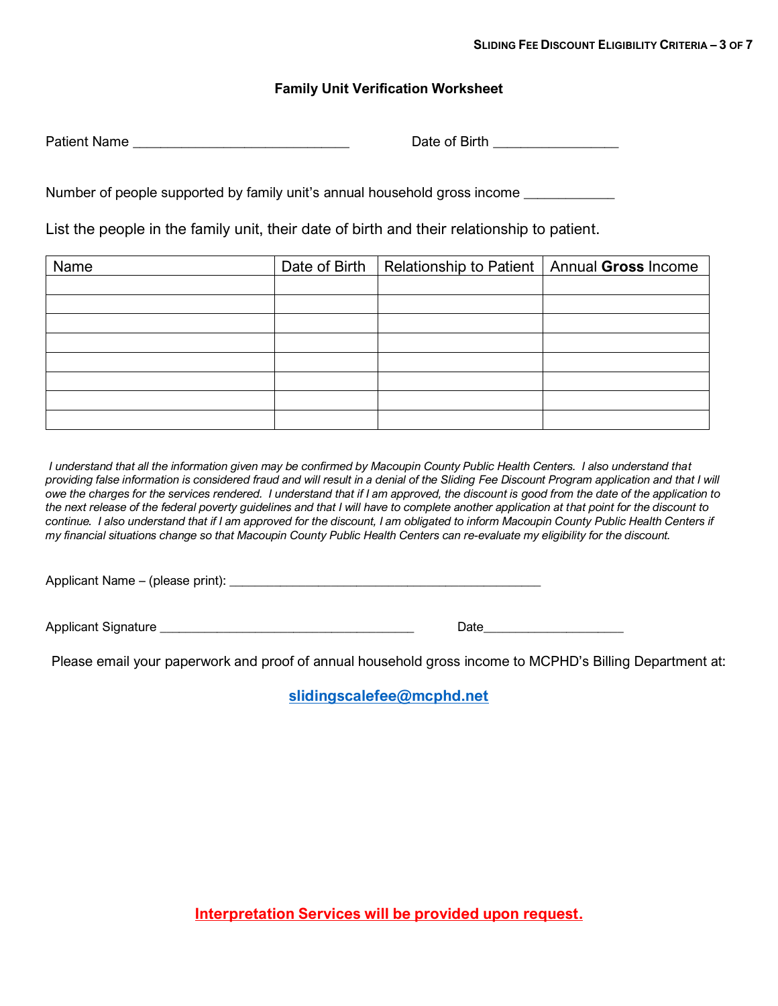#### **Family Unit Verification Worksheet**

Patient Name **Date of Birth Patient Name** 

Number of people supported by family unit's annual household gross income

List the people in the family unit, their date of birth and their relationship to patient.

| Name | Date of Birth | Relationship to Patient   Annual Gross Income |  |
|------|---------------|-----------------------------------------------|--|
|      |               |                                               |  |
|      |               |                                               |  |
|      |               |                                               |  |
|      |               |                                               |  |
|      |               |                                               |  |
|      |               |                                               |  |
|      |               |                                               |  |
|      |               |                                               |  |

*I understand that all the information given may be confirmed by Macoupin County Public Health Centers. I also understand that providing false information is considered fraud and will result in a denial of the Sliding Fee Discount Program application and that I will owe the charges for the services rendered. I understand that if I am approved, the discount is good from the date of the application to the next release of the federal poverty guidelines and that I will have to complete another application at that point for the discount to*  continue. I also understand that if I am approved for the discount, I am obligated to inform Macoupin County Public Health Centers if *my financial situations change so that Macoupin County Public Health Centers can re-evaluate my eligibility for the discount.*

Applicant Name – (please print): \_\_\_\_\_\_\_\_\_\_\_\_\_\_\_\_\_\_\_\_\_\_\_\_\_\_\_\_\_\_\_\_\_\_\_\_\_\_\_\_\_\_\_\_\_\_\_\_\_

Applicant Signature \_\_\_\_\_\_\_\_\_\_\_\_\_\_\_\_\_\_\_\_\_\_\_\_\_\_\_\_\_\_\_\_\_\_\_\_\_\_\_\_ Date\_\_\_\_\_\_\_\_\_\_\_\_\_\_\_\_\_\_\_\_\_\_

Please email your paperwork and proof of annual household gross income to MCPHD's Billing Department at:

**[slidingscalefee@mcphd.net](mailto:slidingscalefee@mcphd.net)**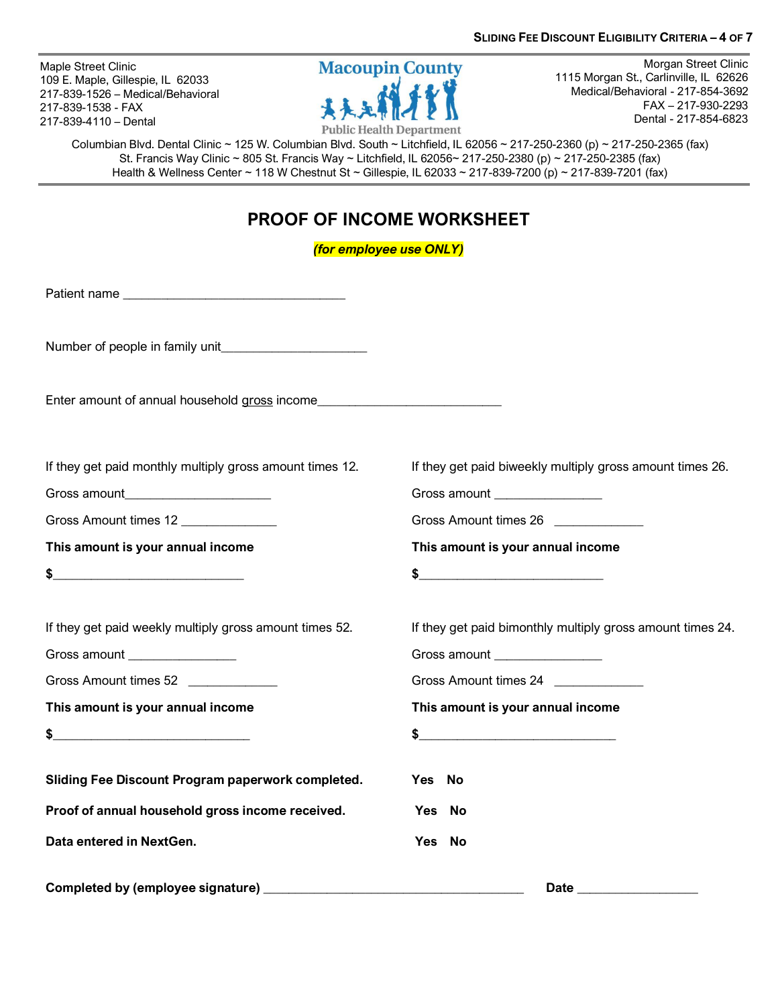Maple Street Clinic 109 E. Maple, Gillespie, IL 62033 217-839-1526 – Medical/Behavioral 217-839-1538 - FAX 217-839-4110 – Dental



Morgan Street Clinic 1115 Morgan St., Carlinville, IL 62626 Medical/Behavioral - 217-854-3692 FAX – 217-930-2293 Dental - 217-854-6823

Columbian Blvd. Dental Clinic ~ 125 W. Columbian Blvd. South ~ Litchfield, IL 62056 ~ 217-250-2360 (p) ~ 217-250-2365 (fax) St. Francis Way Clinic ~ 805 St. Francis Way ~ Litchfield, IL 62056~ 217-250-2380 (p) ~ 217-250-2385 (fax) Health & Wellness Center ~ 118 W Chestnut St ~ Gillespie, IL 62033 ~ 217-839-7200 (p) ~ 217-839-7201 (fax)

## **PROOF OF INCOME WORKSHEET**

*(for employee use ONLY)*

Patient name \_\_\_\_\_\_\_\_\_\_\_\_\_\_\_\_\_\_\_\_\_\_\_\_\_\_\_\_\_\_\_\_\_\_\_

Number of people in family unit

Enter amount of annual household gross income

If they get paid monthly multiply gross amount times 12. If they get paid biweekly multiply gross amount times 26.

Gross amount\_\_\_\_\_\_\_\_\_\_\_\_\_\_\_\_\_\_\_\_\_\_\_ Gross amount \_\_\_\_\_\_\_\_\_\_\_\_\_\_\_\_\_

Gross Amount times 12 **Gross Amount times 26 Gross Amount times 26 Gross Amount times 26** 

**This amount is your annual income This amount is your annual income**

 $\textbf{\$}$ 

If they get paid weekly multiply gross amount times 52. If they get paid bimonthly multiply gross amount times 24.

Gross amount \_\_\_\_\_\_\_\_\_\_\_\_\_\_\_\_\_ Gross amount \_\_\_\_\_\_\_\_\_\_\_\_\_\_\_\_\_

Gross Amount times 52 **State 3 and State 3 and State 3 and State 3 and State 3 and State 3 and State 3 and State 3 and State 3 and State 3 and State 3 and State 3 and State 3 and State 3 and State 3 and State 3 and State 3** 

**This amount is your annual income This amount is your annual income**

 $\sim$  5

**Sliding Fee Discount Program paperwork completed. Yes No**

**Proof of annual household gross income received. Yes No**

**Data entered in NextGen. Yes No**

**Completed by (employee signature) \_\_\_\_\_\_\_\_\_\_\_\_\_\_\_\_\_\_\_\_\_\_\_\_\_\_\_\_\_\_\_\_\_\_\_\_\_\_\_\_\_ Date \_\_\_\_\_\_\_\_\_\_\_\_\_\_\_\_\_\_\_**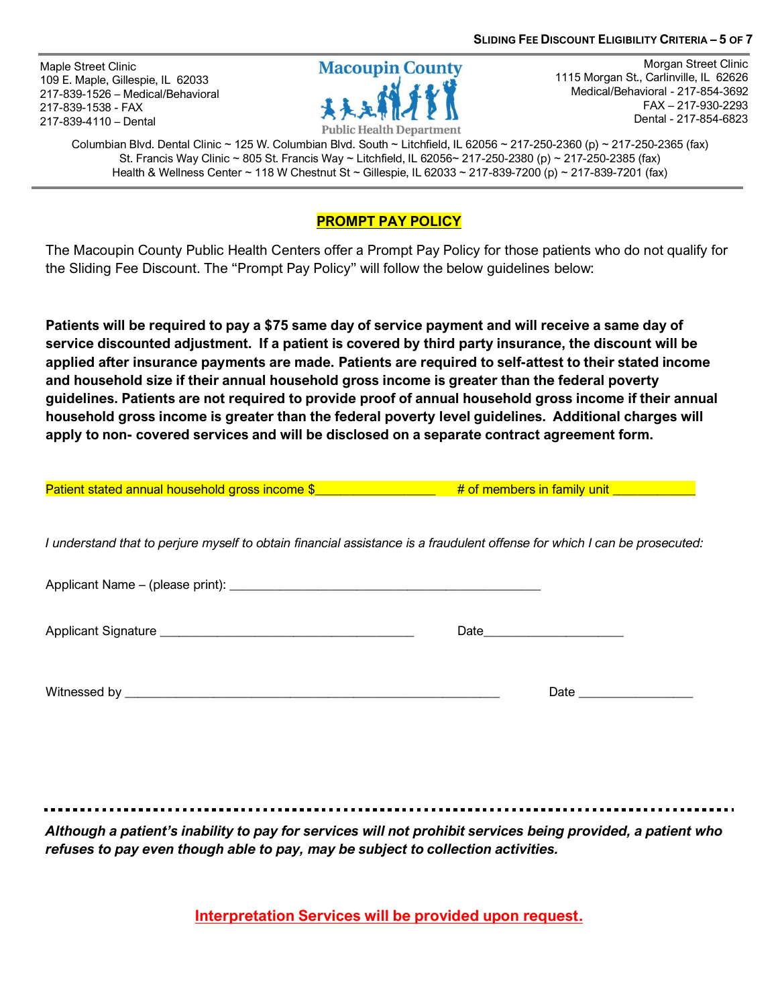Maple Street Clinic 109 E. Maple, Gillespie, IL 62033 217-839-1526 – Medical/Behavioral 217-839-1538 - FAX 217-839-4110 – Dental



Morgan Street Clinic 1115 Morgan St., Carlinville, IL 62626 Medical/Behavioral - 217-854-3692 FAX – 217-930-2293 Dental - 217-854-6823

Columbian Blvd. Dental Clinic ~ 125 W. Columbian Blvd. South ~ Litchfield, IL 62056 ~ 217-250-2360 (p) ~ 217-250-2365 (fax) St. Francis Way Clinic ~ 805 St. Francis Way ~ Litchfield, IL 62056~ 217-250-2380 (p) ~ 217-250-2385 (fax) Health & Wellness Center ~ 118 W Chestnut St ~ Gillespie, IL 62033 ~ 217-839-7200 (p) ~ 217-839-7201 (fax)

### **PROMPT PAY POLICY**

The Macoupin County Public Health Centers offer a Prompt Pay Policy for those patients who do not qualify for the Sliding Fee Discount. The "Prompt Pay Policy" will follow the below guidelines below:

**Patients will be required to pay a \$75 same day of service payment and will receive a same day of service discounted adjustment. If a patient is covered by third party insurance, the discount will be applied after insurance payments are made. Patients are required to self-attest to their stated income and household size if their annual household gross income is greater than the federal poverty guidelines. Patients are not required to provide proof of annual household gross income if their annual household gross income is greater than the federal poverty level guidelines. Additional charges will apply to non- covered services and will be disclosed on a separate contract agreement form.**

| <b>Patient stated annual household gross income \$</b>                                                                    | # of members in family unit ______________ |
|---------------------------------------------------------------------------------------------------------------------------|--------------------------------------------|
| I understand that to perjure myself to obtain financial assistance is a fraudulent offense for which I can be prosecuted: |                                            |
|                                                                                                                           |                                            |
|                                                                                                                           |                                            |
|                                                                                                                           |                                            |

Witnessed by \_\_\_\_\_\_\_\_\_\_\_\_\_\_\_\_\_\_\_\_\_\_\_\_\_\_\_\_\_\_\_\_\_\_\_\_\_\_\_\_\_\_\_\_\_\_\_\_\_\_\_\_\_\_\_\_\_\_\_ Date \_\_\_\_\_\_\_\_\_\_\_\_\_\_\_\_\_\_

*Although a patient's inability to pay for services will not prohibit services being provided, a patient who refuses to pay even though able to pay, may be subject to collection activities.* 

**Interpretation Services will be provided upon request.**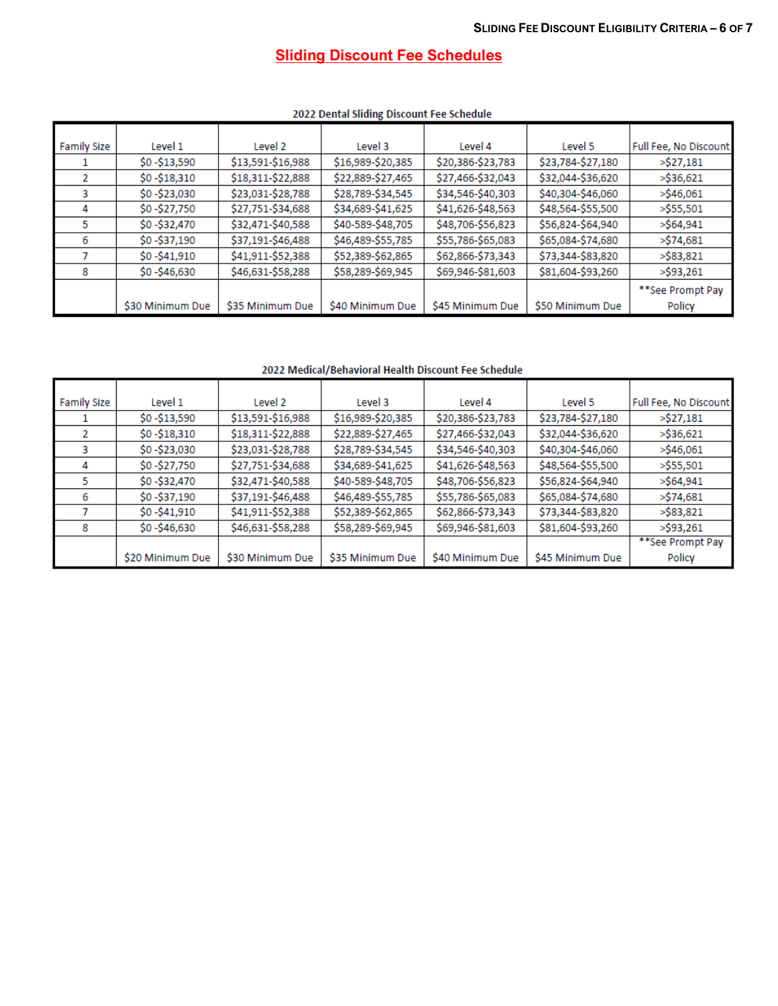# **Sliding Discount Fee Schedules**

| <b>Family Size</b> | Level 1          | Level 2           | Level 3           | Level 4           | Level 5           | Full Fee, No Discount |
|--------------------|------------------|-------------------|-------------------|-------------------|-------------------|-----------------------|
|                    | \$0 -\$13,590    | \$13,591-\$16,988 | \$16,989-\$20,385 | \$20,386-\$23,783 | \$23,784-\$27,180 | >\$27,181             |
| 2                  | \$0 - \$18,310   | \$18,311-\$22,888 | \$22,889-\$27,465 | \$27,466-\$32,043 | \$32,044-\$36,620 | >\$36,621             |
| 3                  | \$0-\$23,030     | \$23,031-\$28,788 | \$28,789-\$34,545 | \$34,546-\$40,303 | \$40,304-\$46,060 | >\$46,061             |
| 4                  | \$0 -\$27,750    | \$27,751-\$34,688 | \$34,689-\$41,625 | \$41,626-\$48,563 | \$48,564-\$55,500 | >\$55,501             |
| 5                  | \$0 -\$32,470    | \$32,471-\$40,588 | \$40-589-\$48,705 | \$48,706-\$56,823 | \$56,824-\$64,940 | >\$64,941             |
| 6                  | \$0 -\$37,190    | \$37,191-\$46,488 | \$46,489-\$55,785 | \$55,786-\$65,083 | \$65,084-\$74,680 | >\$74,681             |
|                    | \$0 - \$41,910   | \$41,911-\$52,388 | \$52,389-\$62,865 | \$62,866-\$73,343 | \$73,344-\$83,820 | >\$83,821             |
| 8                  | \$0 - \$46,630   | \$46,631-\$58,288 | \$58,289-\$69,945 | \$69,946-\$81,603 | \$81,604-\$93,260 | >\$93,261             |
|                    |                  |                   |                   |                   |                   | **See Prompt Pay      |
|                    | \$30 Minimum Due | \$35 Minimum Due  | \$40 Minimum Due  | \$45 Minimum Due  | \$50 Minimum Due  | Policy                |
|                    |                  |                   |                   |                   |                   |                       |

#### 2022 Dental Sliding Discount Fee Schedule

2022 Medical/Behavioral Health Discount Fee Schedule

| <b>Family Size</b> | Level 1          | Level 2           | Level 3           | Level 4           | Level 5           | Full Fee, No Discount |
|--------------------|------------------|-------------------|-------------------|-------------------|-------------------|-----------------------|
|                    | \$0 -\$13,590    | \$13,591-\$16,988 | \$16,989-\$20,385 | \$20,386-\$23,783 | \$23,784-\$27,180 | >\$27,181             |
| 2                  | $$0 - $18,310$   | \$18,311-\$22,888 | \$22,889-\$27,465 | \$27,466-\$32,043 | \$32,044-\$36,620 | >\$36,621             |
| з                  | \$0 -\$23,030    | \$23,031-\$28,788 | \$28,789-\$34,545 | \$34,546-\$40,303 | \$40,304-\$46,060 | >\$46,061             |
| 4                  | \$0 -\$27,750    | \$27,751-\$34,688 | \$34,689-\$41,625 | \$41,626-\$48,563 | \$48,564-\$55,500 | >\$55,501             |
| 5                  | \$0 -\$32,470    | \$32,471-\$40,588 | \$40-589-\$48,705 | \$48,706-\$56,823 | \$56,824-\$64,940 | >\$64,941             |
| 6                  | \$0 -\$37,190    | \$37,191-\$46,488 | \$46,489-\$55,785 | \$55,786-\$65,083 | \$65,084-\$74,680 | >\$74,681             |
|                    | $$0 - $41,910$   | \$41,911-\$52,388 | \$52,389-\$62,865 | \$62,866-\$73,343 | \$73,344-\$83,820 | >\$83,821             |
| 8                  | \$0 -\$46,630    | \$46,631-\$58,288 | \$58,289-\$69,945 | \$69,946-\$81,603 | \$81,604-\$93,260 | >\$93,261             |
|                    |                  |                   |                   |                   |                   | **See Prompt Pay      |
|                    | \$20 Minimum Due | \$30 Minimum Due  | \$35 Minimum Due  | \$40 Minimum Due  | \$45 Minimum Due  | Policy                |